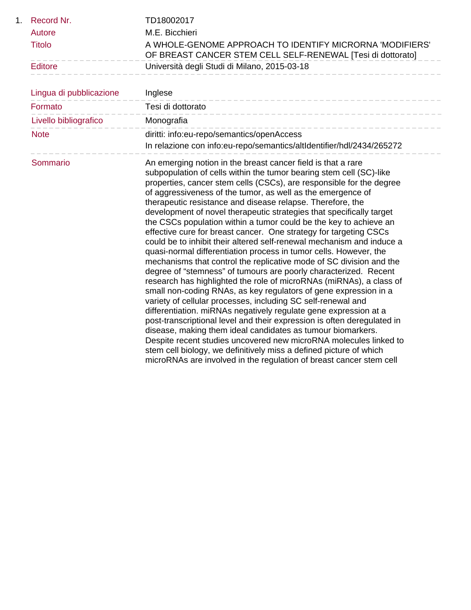| 1. Record Nr. | TD18002017                                                                                                              |
|---------------|-------------------------------------------------------------------------------------------------------------------------|
| Autore        | M.F. Bicchieri                                                                                                          |
| Titolo        | A WHOLE-GENOME APPROACH TO IDENTIFY MICRORNA 'MODIFIERS'<br>OF BREAST CANCER STEM CELL SELF-RENEWAL [Tesi di dottorato] |
| Editore       | Università degli Studi di Milano, 2015-03-18                                                                            |

| Lingua di pubblicazione | Inglese                                                                                                                                                                                                                                                                                                                                                                                                                                                                                                                                                                                                                                                                                                                                                                                                                                                                                                                                                                                                                                                                                                                                                                                                                                                                                                                                                                                                                                                                                        |
|-------------------------|------------------------------------------------------------------------------------------------------------------------------------------------------------------------------------------------------------------------------------------------------------------------------------------------------------------------------------------------------------------------------------------------------------------------------------------------------------------------------------------------------------------------------------------------------------------------------------------------------------------------------------------------------------------------------------------------------------------------------------------------------------------------------------------------------------------------------------------------------------------------------------------------------------------------------------------------------------------------------------------------------------------------------------------------------------------------------------------------------------------------------------------------------------------------------------------------------------------------------------------------------------------------------------------------------------------------------------------------------------------------------------------------------------------------------------------------------------------------------------------------|
| Formato                 | Tesi di dottorato                                                                                                                                                                                                                                                                                                                                                                                                                                                                                                                                                                                                                                                                                                                                                                                                                                                                                                                                                                                                                                                                                                                                                                                                                                                                                                                                                                                                                                                                              |
| Livello bibliografico   | Monografia                                                                                                                                                                                                                                                                                                                                                                                                                                                                                                                                                                                                                                                                                                                                                                                                                                                                                                                                                                                                                                                                                                                                                                                                                                                                                                                                                                                                                                                                                     |
| <b>Note</b>             | diritti: info:eu-repo/semantics/openAccess<br>In relazione con info:eu-repo/semantics/altIdentifier/hdl/2434/265272                                                                                                                                                                                                                                                                                                                                                                                                                                                                                                                                                                                                                                                                                                                                                                                                                                                                                                                                                                                                                                                                                                                                                                                                                                                                                                                                                                            |
| Sommario                | An emerging notion in the breast cancer field is that a rare<br>subpopulation of cells within the tumor bearing stem cell (SC)-like<br>properties, cancer stem cells (CSCs), are responsible for the degree<br>of aggressiveness of the tumor, as well as the emergence of<br>therapeutic resistance and disease relapse. Therefore, the<br>development of novel therapeutic strategies that specifically target<br>the CSCs population within a tumor could be the key to achieve an<br>effective cure for breast cancer. One strategy for targeting CSCs<br>could be to inhibit their altered self-renewal mechanism and induce a<br>quasi-normal differentiation process in tumor cells. However, the<br>mechanisms that control the replicative mode of SC division and the<br>degree of "stemness" of tumours are poorly characterized. Recent<br>research has highlighted the role of microRNAs (miRNAs), a class of<br>small non-coding RNAs, as key regulators of gene expression in a<br>variety of cellular processes, including SC self-renewal and<br>differentiation. miRNAs negatively regulate gene expression at a<br>post-transcriptional level and their expression is often deregulated in<br>disease, making them ideal candidates as tumour biomarkers.<br>Despite recent studies uncovered new microRNA molecules linked to<br>stem cell biology, we definitively miss a defined picture of which<br>microRNAs are involved in the regulation of breast cancer stem cell |